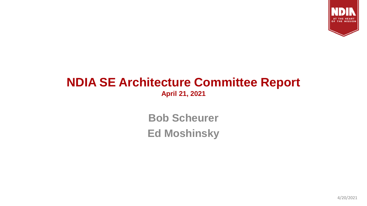

## **NDIA SE Architecture Committee Report April 21, 2021**

**Bob Scheurer Ed Moshinsky**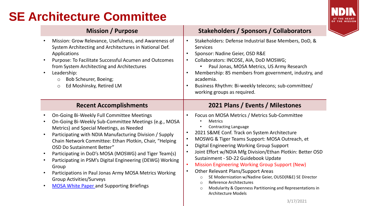## **SE Architecture Committee**



|                                     | <b>Mission / Purpose</b>                                                                                                                                                                                                                                                                                                                                                                                                                                                                                                                                                                   | Stakeholders / Sponsors / Collaborators                                                                                                                                                                                                                                                                                                                                                                                                                                                                                                                                                                                                                                                                                                                             |
|-------------------------------------|--------------------------------------------------------------------------------------------------------------------------------------------------------------------------------------------------------------------------------------------------------------------------------------------------------------------------------------------------------------------------------------------------------------------------------------------------------------------------------------------------------------------------------------------------------------------------------------------|---------------------------------------------------------------------------------------------------------------------------------------------------------------------------------------------------------------------------------------------------------------------------------------------------------------------------------------------------------------------------------------------------------------------------------------------------------------------------------------------------------------------------------------------------------------------------------------------------------------------------------------------------------------------------------------------------------------------------------------------------------------------|
| $\bullet$                           | Mission: Grow Relevance, Usefulness, and Awareness of<br>System Architecting and Architectures in National Def.<br>Applications<br>Purpose: To Facilitate Successful Acumen and Outcomes<br>from System Architecting and Architectures<br>Leadership:<br>Bob Scheurer, Boeing;<br>$\circ$<br>Ed Moshinsky, Retired LM<br>$\circ$                                                                                                                                                                                                                                                           | Stakeholders: Defense Industrial Base Members, DoD, &<br>$\bullet$<br><b>Services</b><br>Sponsor: Nadine Geier, OSD R&E<br>$\bullet$<br>Collaborators: INCOSE, AIA, DoD MOSWG;<br>$\bullet$<br>Paul Jonas, MOSA Metrics, US Army Research<br>$\bullet$<br>Membership: 85 members from government, industry, and<br>academia.<br>Business Rhythm: Bi-weekly telecons; sub-committee/<br>working groups as required.                                                                                                                                                                                                                                                                                                                                                  |
|                                     | <b>Recent Accomplishments</b>                                                                                                                                                                                                                                                                                                                                                                                                                                                                                                                                                              | 2021 Plans / Events / Milestones                                                                                                                                                                                                                                                                                                                                                                                                                                                                                                                                                                                                                                                                                                                                    |
| $\bullet$<br>$\bullet$<br>$\bullet$ | On-Going Bi-Weekly Full Committee Meetings<br>On-Going Bi-Weekly Sub-Committee Meetings (e.g., MOSA<br>Metrics) and Special Meetings, as Needed<br>Participating with NDIA Manufacturing Division / Supply<br>Chain Network Committee: Ethan Plotkin, Chair, "Helping<br><b>OSD Do Sustainment Better"</b><br>Participating in DoD's MOSA (MOSWG) and Tiger Team(s)<br>Participating in PSM's Digital Engineering (DEWG) Working<br>Group<br>Participations in Paul Jonas Army MOSA Metrics Working<br><b>Group Activities/Surveys</b><br><b>MOSA White Paper and Supporting Briefings</b> | Focus on MOSA Metrics / Metrics Sub-Committee<br><b>Metrics</b><br><b>Contracting Language</b><br>$\bullet$<br>2021 S&ME Conf. Track on System Architecture<br>$\bullet$<br>MOSWG & Tiger Teams Support: MOSA Outreach, et<br>$\bullet$<br>Digital Engineering Working Group Support<br>$\bullet$<br>Joint Effort w/NDIA Mfg Division/Ethan Plotkin: Better OSD<br>$\bullet$<br>Sustainment - SD-22 Guidebook Update<br><b>Mission Engineering Working Group Support (New)</b><br>$\bullet$<br><b>Other Relevant Plans/Support Areas</b><br>SE Modernization w/Nadine Geier, OUSD(R&E) SE Director<br>$\circ$<br><b>Reference Architectures</b><br>$\bigcirc$<br>Modularity & Openness Partitioning and Representations in<br>$\circ$<br><b>Architecture Models</b> |